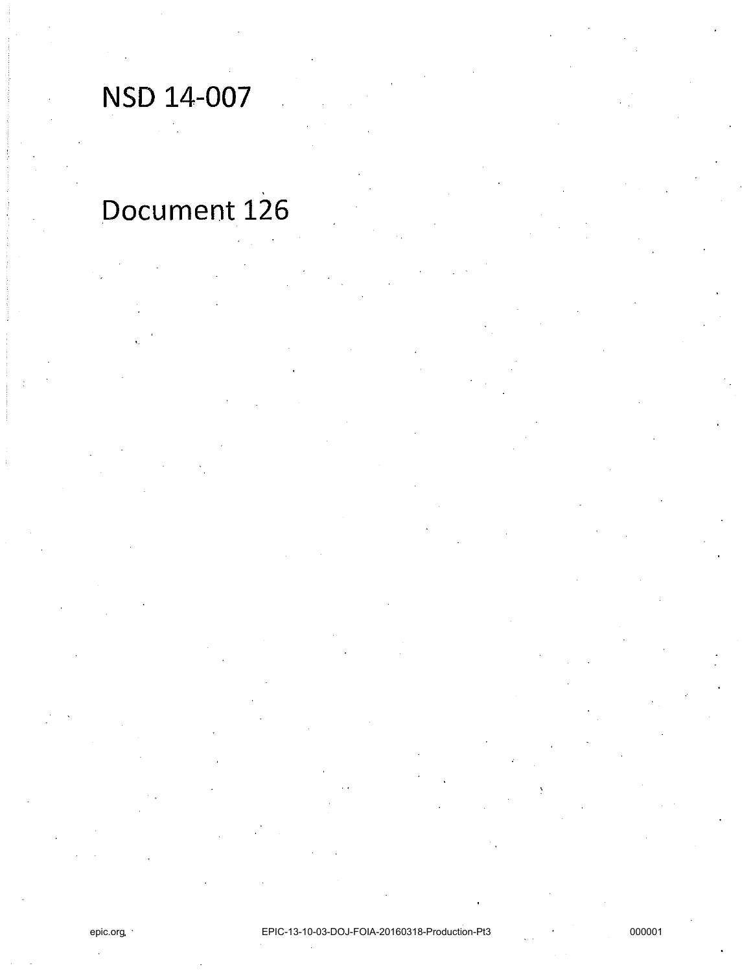# NSD 14-007

# Document 126

epic.org

EPIC-13-10-03-DOJ-FOIA-20160318-Production-Pt3

000001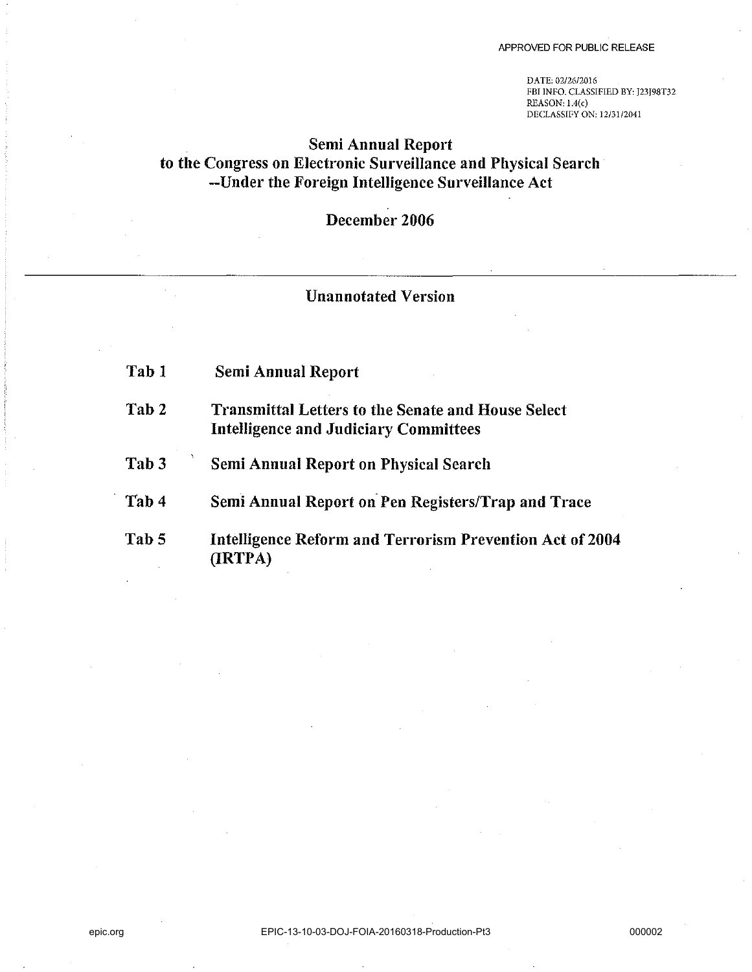DATE: *02/2612016*  FBI INFO. CLASSIFIED BY: J23J98T32  $REASON: 1.4(c)$ DECLASSIFY ON: 12/31/2041

## Semi Annual Report to the Congress on Electronic Surveillance and Physical Search --Under the Foreign Intelligence Surveillance Act

# December 2006

## Unannotated Version

| Tab 1            | <b>Semi Annual Report</b>                                                                                 |
|------------------|-----------------------------------------------------------------------------------------------------------|
| Tab 2            | <b>Transmittal Letters to the Senate and House Select</b><br><b>Intelligence and Judiciary Committees</b> |
| Tab <sub>3</sub> | <b>Semi Annual Report on Physical Search</b>                                                              |
| Tab 4            | Semi Annual Report on Pen Registers/Trap and Trace                                                        |
| Tab 5            | Intelligence Reform and Terrorism Prevention Act of 2004<br>(IRTPA)                                       |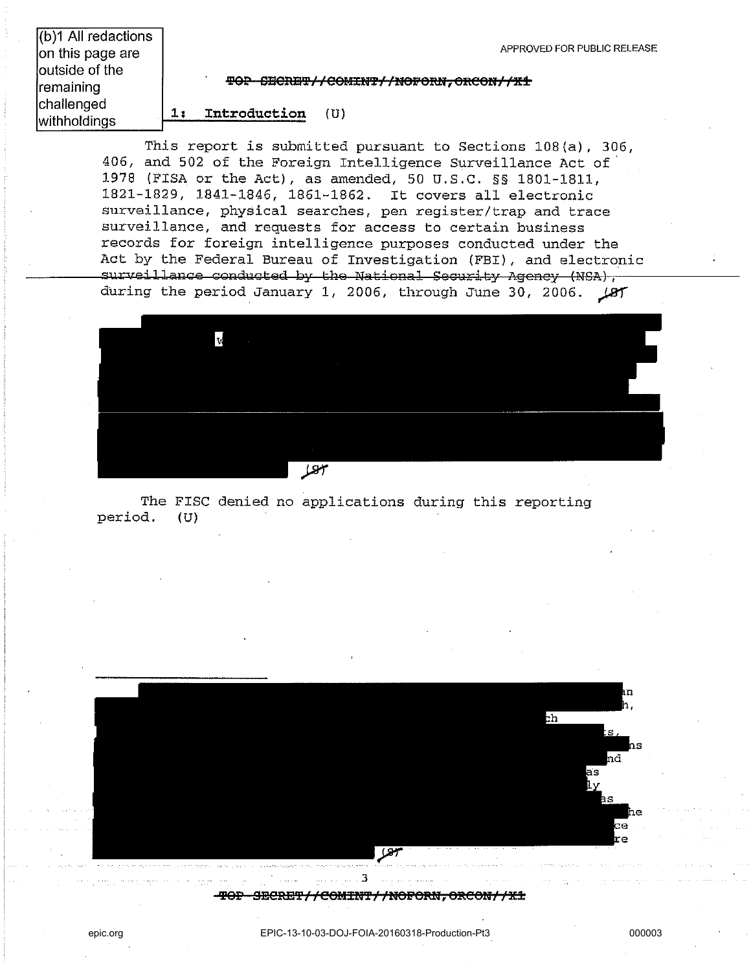| APPROVED FOR PUBLIC RELEASE |  |
|-----------------------------|--|
|-----------------------------|--|

(b)1 All redactions on this page are outside of the remaining challenged withholdings **1:** 

 $\frac{\text{FOP}}{\text{FOP}}$  SECRET//COMINT//NOFORN, ORCON//X1

**Introduction** (U)

This report is submitted pursuant to Sections 108(a), 306, 406. and 502 of the Foreign Intelligence Surveillance Act of' 1978 (FISA or the Act). as amended. 50 U.S.C. §§ 1801-1811. 1821-1829. 1841-1846. 1861-1862. It covers all electronic surveillance. physical searches, pen register/trap and trace surveillance. and requests for access to certain business records for foreign intelligence purposes conducted under the Act by the Federal Bureau of Investigation (FBI). and electronic surveillance conducted by the National Security Agency (NSA), during the period January 1, 2006, through June 30, 2006.  $\sqrt{85}$ 



The FISC denied no applications during this reporting period. (U)

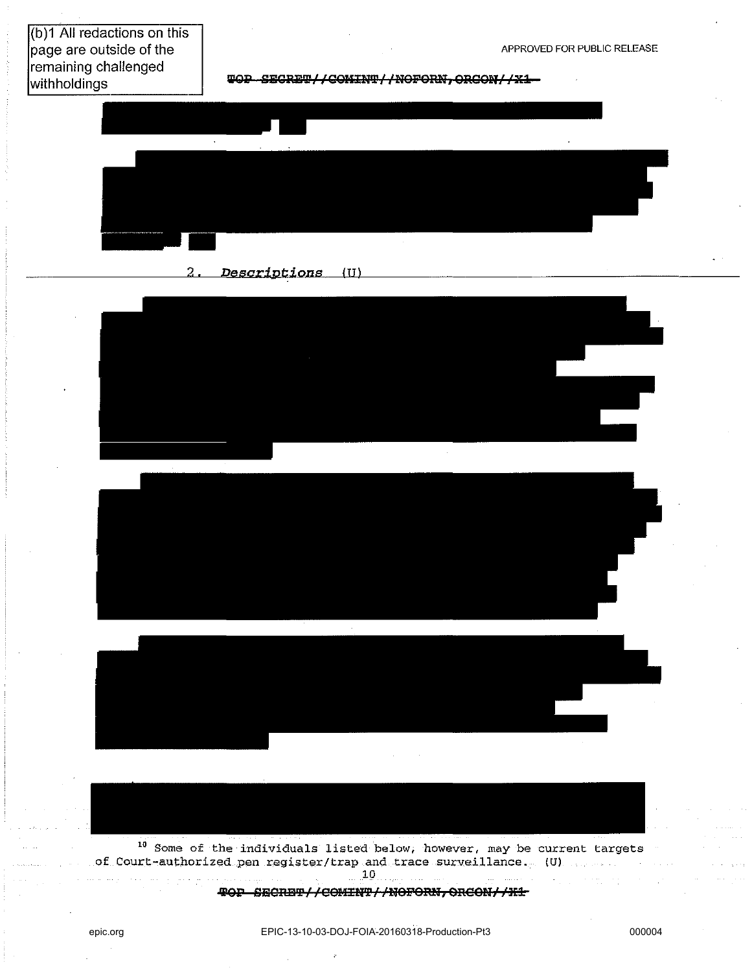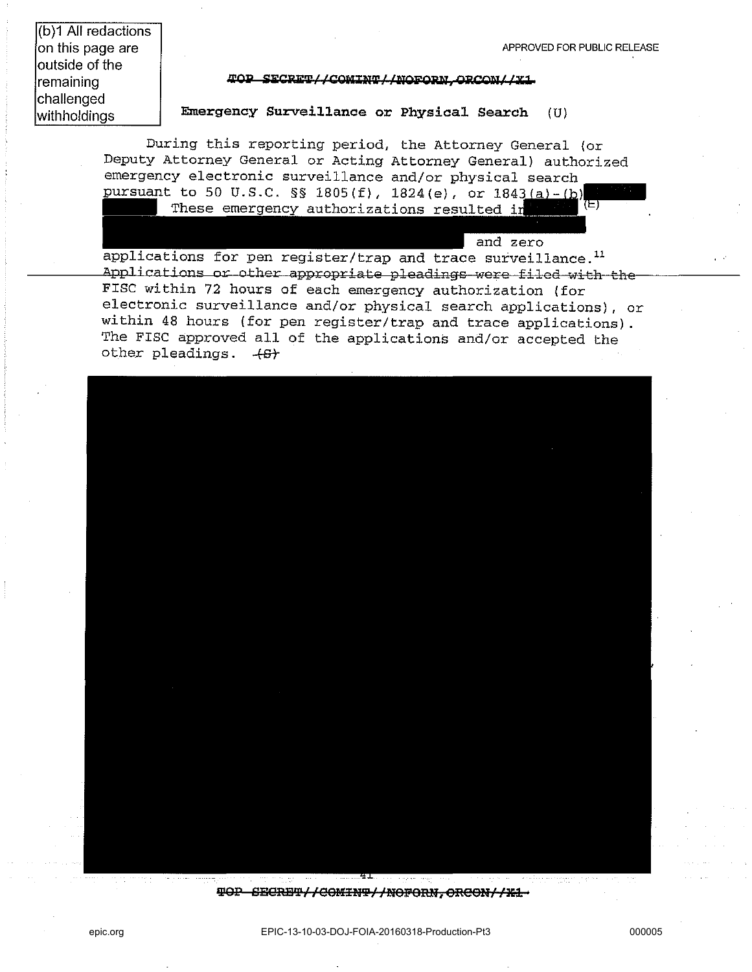and zero

(b)1 **All** redactions on this page are outside of the remaining challenged withholdings

#### **«,op Si:CP.ii:T/ ICOla.lW/ 1»iOi'Og, ORCO»J/ /Xl**

#### **Emergency Surveillance or Physical Search** (U)

During this reporting period, the Attorney General (or Deputy Attorney General or Acting Attorney General) authorized emergency electronic surveillance and/or physical search pursuant to 50 U.S.C. §§ 1805(f), 1824(e), or 1843(a)-(b)<br>These emergency authorizations resulted in the same

applications for pen register/trap and trace surveillance.<sup>11</sup> Applications or other appropriate pleadings were filed with the FISC within 72 hours of each emergency authorization (for electronic surveillance and/or physical search applications), or within 48 hours (for pen register/trap and trace applications) . The FISC approved all of the applications and/or accepted the other pleadings.  $+6+$ 



 $\frac{1}{2}$ **EDORBT//COMINT//NOFORN, ORCON//X1 ·**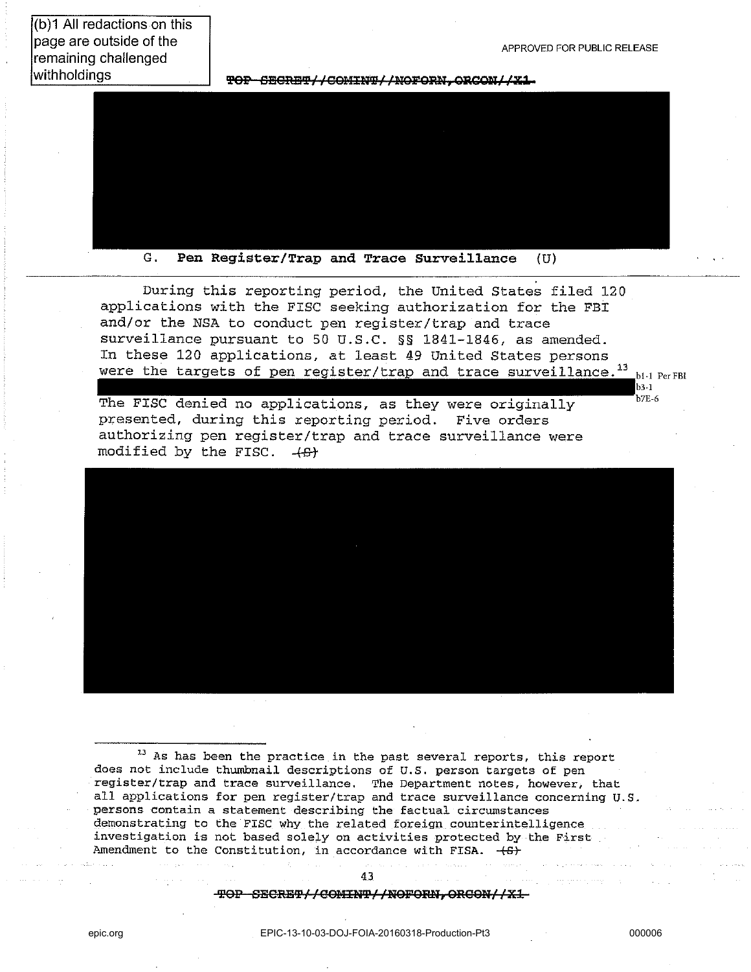(b)1 All redactions on this page are outside of the remaining challenged withholdings

APPROVED FOR PUBLIC RELEASE

TOP-CECRET//COMINT//NOFORN.ORCON//X1-



 $G_{-}$ Pen Register/Trap and Trace Surveillance  $(U)$ 

During this reporting period, the United States filed 120 applications with the FISC seeking authorization for the FBI and/or the NSA to conduct pen register/trap and trace surveillance pursuant to 50 U.S.C. §§ 1841-1846, as amended. In these 120 applications, at least 49 United States persons were the targets of pen register/trap and trace surveillance.<sup>13</sup> bi-1 Per FBI

The FISC denied no applications, as they were originally presented, during this reporting period. Five orders authorizing pen register/trap and trace surveillance were modified by the FISC.  $+6$ 



**13 As has been the practice in the past several reports, this report**  does not include thumbnail descriptions of U.S. person targets of pen **register/trap and trace surveillance. The Department notes, however, that all applications for pen register/trap and trace surveillance concerning U.S. persons contain a statement describing the factual circumstances**  demonstrating to the FISC why the related foreign counterintelligence **investigation is not based solely on activities protected by the First**  Amendment to the Constitution, in accordance with FISA.  $+6+$ 

> 4.3 TOP SECRET//COMINT//NOFORN, ORCON//X1

**h3.1**  $b$ <sub>7</sub>E-6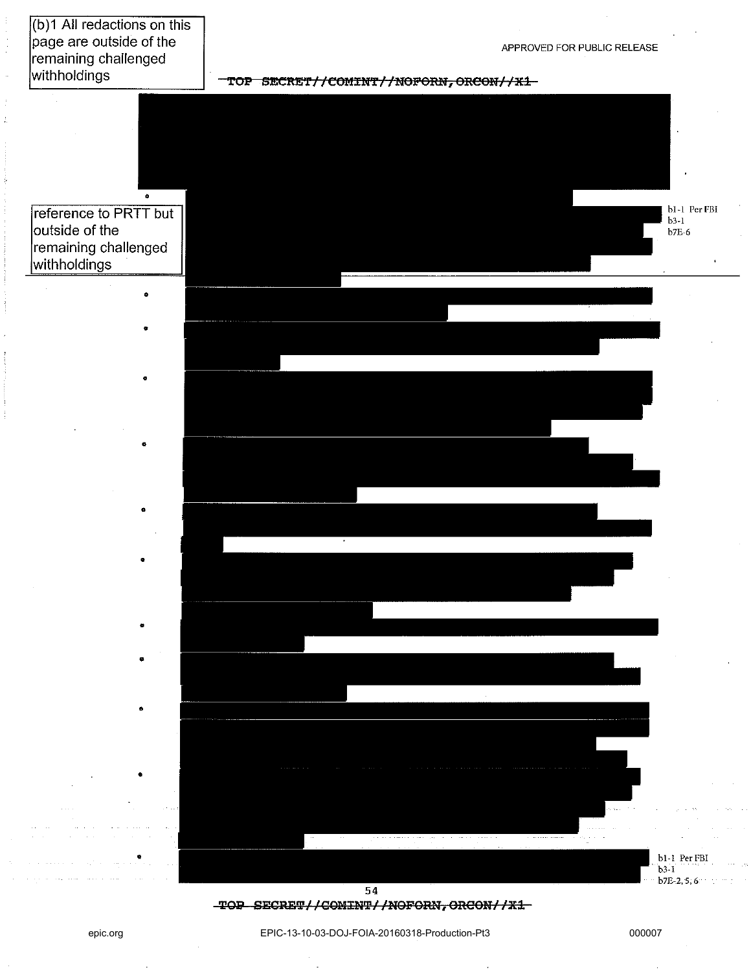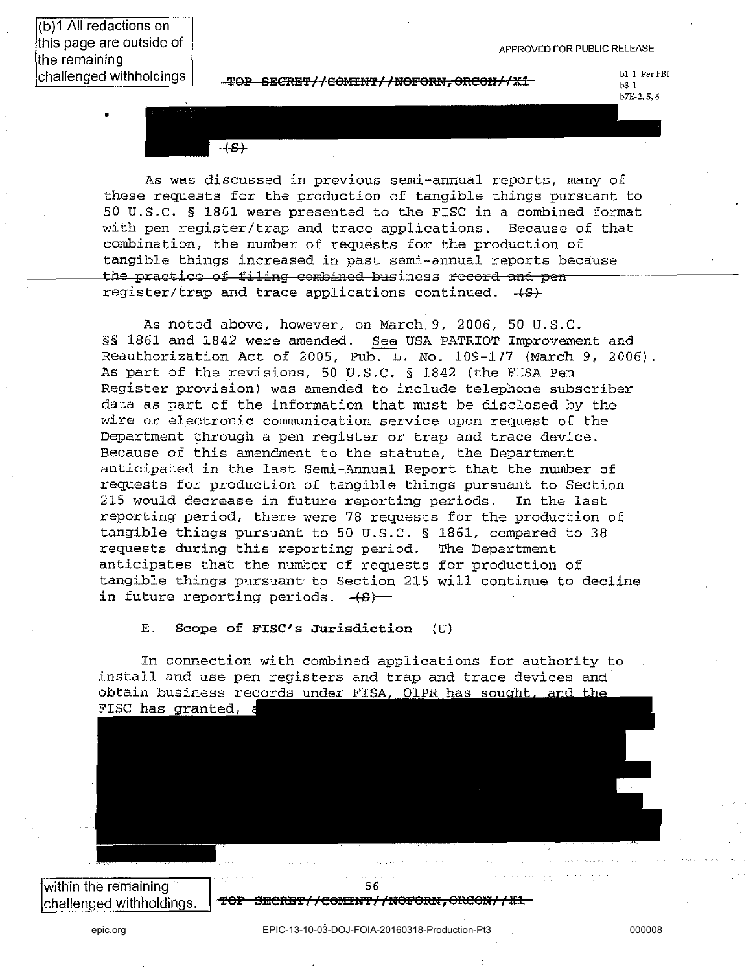(b)1 All redactions on this page are outside of the remaining challenged withholdings

•

 $-\text{TOP}-\text{EBCRBP}/\text{/COMHMP}/\text{/NOFORM, ORCOM///X1-}$ 

**bl-l** PerFBI  $h3-1$ b7E-2, 5, 6

 $+S+$ 

As was discussed in previous semi-annual reports, many of these requests for the production of tangible things pursuant to 50 U.S.C. § 1861 were presented to the FISC in a combined format with pen register/trap and trace applications. Because of that combination, the number of requests for the production of tangible things increased in past semi-annual reports because the practice of filing combined business record and pen register/trap and trace applications continued.  $+S$ 

As noted above, however, on March. 9, 2006, 50 U.S.C. §§ 1861 and 1842 were amended. See USA PATRIOT Improvement and Reauthorization Act of 2005, Pub. L. No. 109-177 (March 9, 2006). As part of the revisions, 50 U.S.C. § 1842 (the FISA Pen Register provision) was amended to include telephone subscriber data as part of the information that must be disclosed by the wire or electronic communication service upon request of the Department through a pen register or trap and trace device. Because of this amendment to the statute, the Department anticipated in the last Semi-Annual Report that the number of requests for production of tangible things pursuant to Section 215 would decrease in future reporting periods. In the last reporting period, there were 78 requests for the production of tangible things pursuant to 50 U.S.C. § 1861, compared to 38 requests during this reporting period. The Department anticipates that the number of requests for production of tangible things pursuant to Section 215 will continue to decline in future reporting periods.  $-(S)$ 

E. Scope of FISC's Jurisdiction (U)

In connection with combined applications for authority to install and use pen registers and trap and trace devices and obtain business records under FISA, OIPR has sought, and the FISC has granted, a

within the remaining challenged withholdings.

56 **'fOP BEeBY I ,. eeUili"f Illi6peMf,** ORO ON/ **/lE1**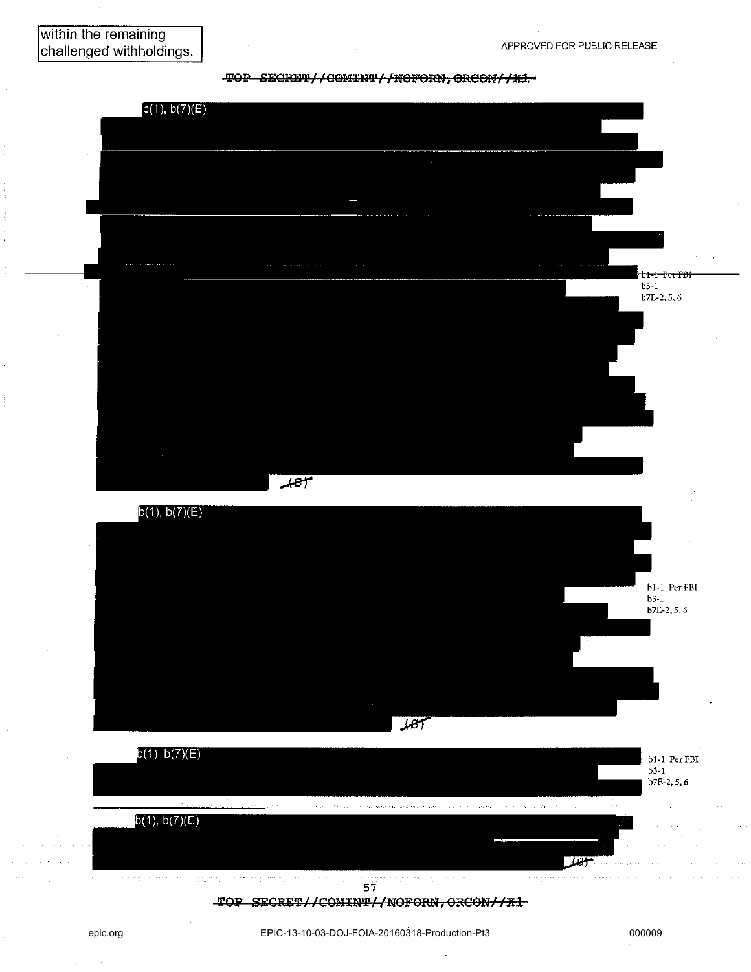



TOP SECRET//COMINT//NOFORN, ORCON//X1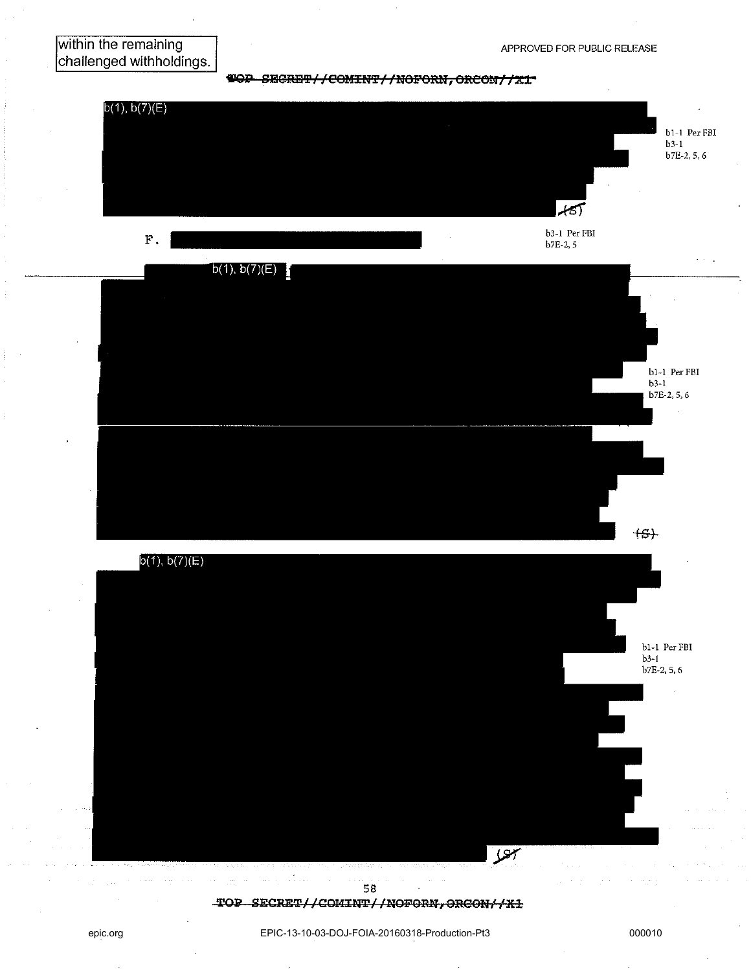### within the remaining challenged withholdings.

**TOP SECRET//COMINT//NOFORN, ORCON//X1** 



epic.org EPIC-13-10-03-DOJ-FOIA-20160318-Production-Pt3 000010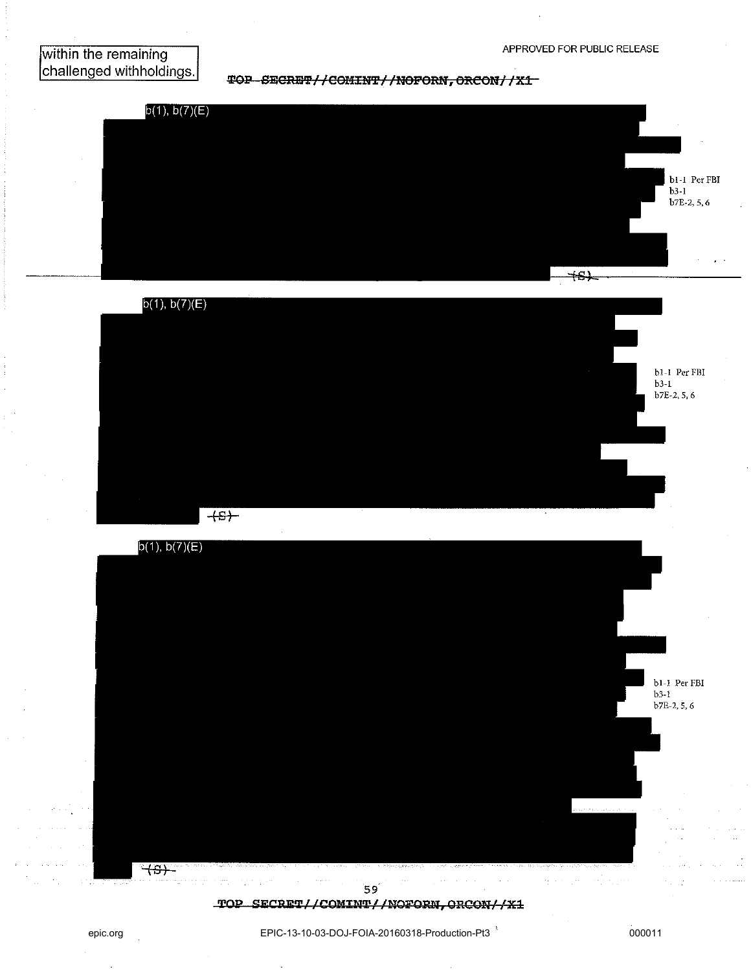within the remaining challenged withholdings.

TOP SECRET//COMINT//NOFORN, ORCON//X1







TOP SECRET//COMINT//NOFORN, ORCON//X1

EPIC-13-10-03-DOJ-FOIA-20160318-Production-Pt3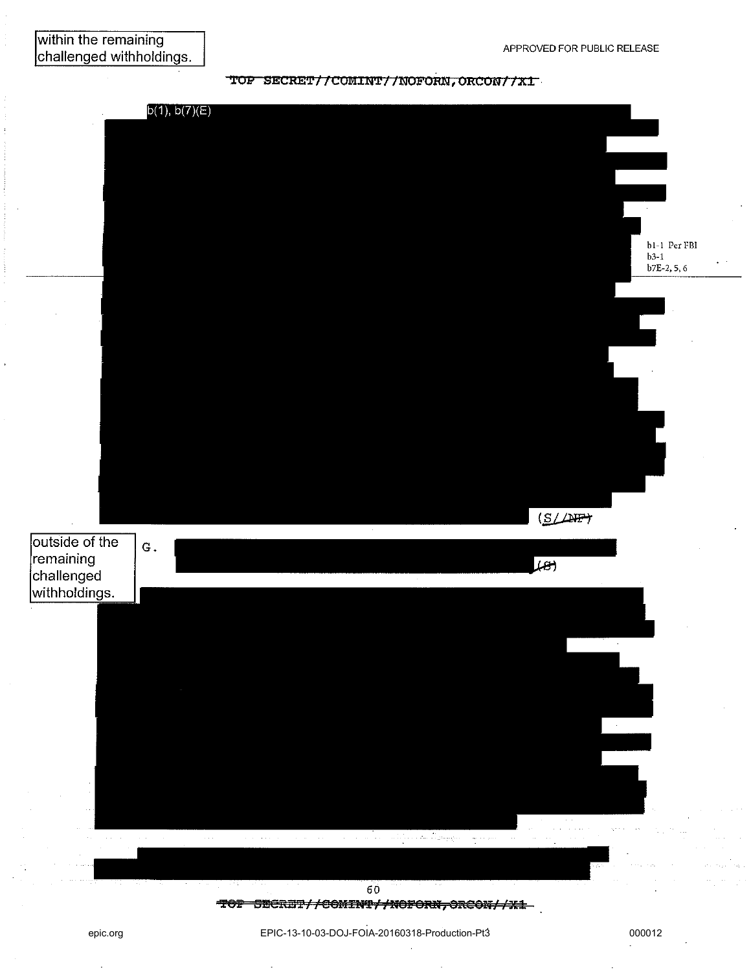TOP SECRET//COMINT//NOFORM, ORCON//X1  $b(1), b(7)(E)$ b1-1 Per FBI  $b3-1$  $b7E-2, 5, 6$  $(S/LHP)$ outside of the  $G.$ remaining  $\overline{f}$ challenged withholdings. 60

#### TOP SECRET//COMINT//NOFORN, ORCON//X1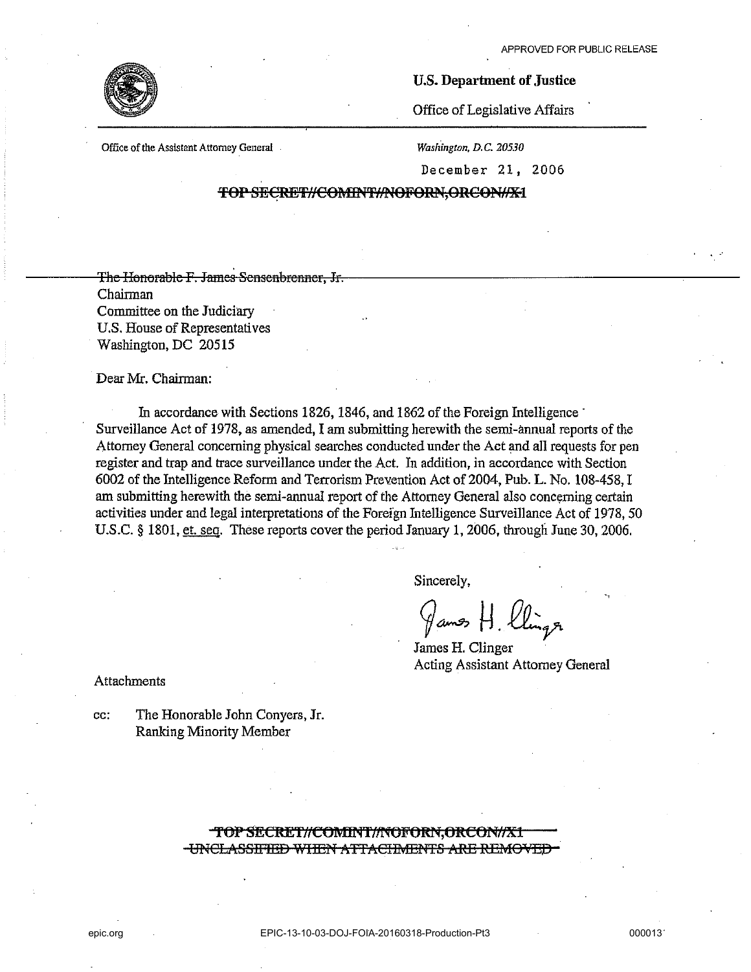. .-



#### U.S. Department of Justice

Office of Legislative Affairs

Office of the Assistant Attorney General -

*Washington.* D. C. *20530* 

December 21, 2006

TOP SECRET//COMINT//NOFORN,ORCON//X-1

The Honorable F. James Sensenbrenner, Jr. Chairman Committee on the Judiciary U.S. House of Representatives Washington, DC 20515

#### Dear Mr. Chairman:

In accordance with Sections 1826, 1846, and 1862 of the Foreign Intelligence is Surveillance Act of 1978, as amended, I am submitting herewith the semi-annual reports of the Attorney General concerning physical searches conducted under the Act and all requests for pen register and trap and trace surveillance under the Act. In addition, in accordance with Section 6002 of the Intelligence Reform and Terrorism Prevention Act of 2004, Pub. L. No. 108-458, I am submitting herewith the semi-annual report of the Attorney General also concerning certain activities under and legal interpretations of the Foreign Intelligence Surveillance Act of 1978, 50 U.S.C. § 1801, et. seq. These reports cover the period January 1,2006, through June 30, 2006.

Sincerely,

9~~·£tr

James H. Clinger Acting Assistant Attorney General

Attachments

cc: The Honorable John Conyers, Jr. Ranking Minority Member

> TOP SECRET//COMINT//NOFORN.ORCON//X1 **-UNCLASSIFIED WHEN ATTACHMENTS ARE REMOVED**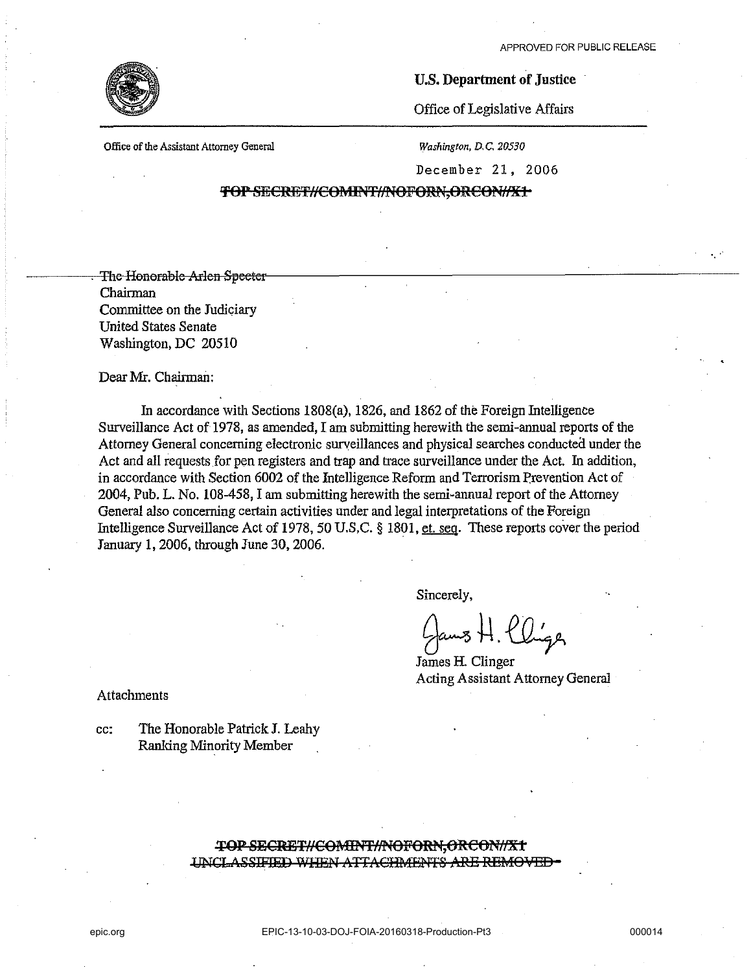

#### U.S. Department of Justice

Office of Legislative Affairs

Office of the Assistant Attorney General

*Washington,* D. C. *20530* 

December 21, 2006

TOP SECRET//COMINT//NOFORN,ORCON//X1

The Honorable Arlen Speeter Chairman Committee on the Judiciary United States Senate Washington, DC 20510

Dear Mr. Chairman:

In accordance with Sections 1808(a), 1826, and 1862 of the Foreign Intelligence Surveillance Act of 1978, as amended, I am submitting herewith the semi-annual reports of the Attorney General concerning electronic surveillances and physical searches conducteil under the Act and all requests for pen registers and trap and trace surveillance under the Act. In addition, in accordance with Section 6002 of the Intelligence Reform and Terrorism Prevention Act of 2004, Pub. L. No. 108-458, I am submitting herewith the semi-annual report of the Attorney General also concerning certain activities under and legal interpretations of the Foreign Intelligence Surveillance Act of 1978, 50 U.S.C. § 1801, et. seq. These reports cover the period January 1, 2006, through June 30, 2006.

Sincerely,

 $_{\rm{aus}}$  H. Cliga

James H. Clinger Acting Assistant Attorney General

Attachments

cc: The Honorable Patrick J. Leahy Ranking Minority Member

> TOP SECRET//COMINT//NOFORN,ORCON//X1 UNCLASSIFIED WHEN ATTACHMENTS ARE REMOVED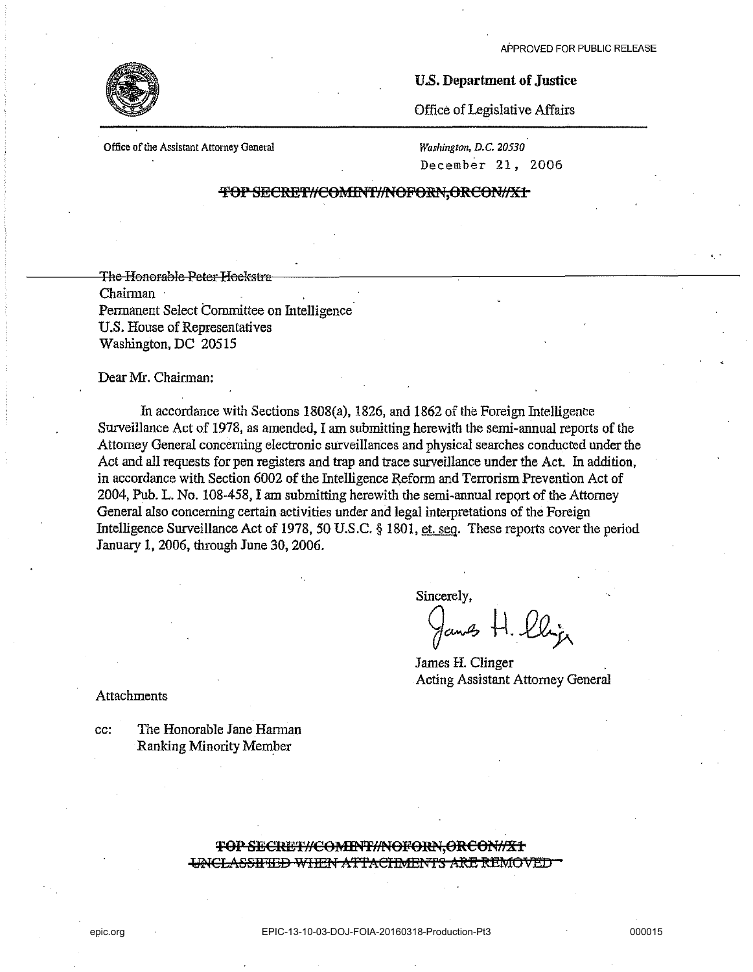

#### U.S. Department of Justice

Office of Legislative Affairs

Office of the Assistant Attorney General

*Washington. D.C. 20530*  December 21, 2006

#### TOP SECRET//COMINT//NOFORN,ORCON//X1

The Honorable Peter Heekstra Chairman Pennanent Select Committee on Intelligence U.S. House of Representatives Washington, DC 20515

#### Dear Mr. Chairman:

In accordance with Sections 1808(a), 1826, and 1862 of the Foreign Intelligence Surveillance Act of 1978, as amended, I am submitting herewith the semi-annual reports of the Attorney General concerning electronic surveillances and physical searches conducted under the Act and all requests for pen registers and trap and trace surveillance under the Act. In addition, in accordance with Section 6002 of the Intelligence Refonn and Terrorism Prevention Act of 2004, PUb. L. No. 108-458, I am submitting herewith the semi-annual report of the Attorney General also concerning certain activities under and legal interpretations of the Foreign Intelligence Surveillance Act of 1978, 50 U.S.C. § 1801, et. seg. These reports cover the period January 1, 2006, through June 30, 2006.

Sincerely,

 $\frac{1}{2}$ cun $\frac{A}{2}$ 

James H. Clinger Acting Assistant Attorney General

Attachments

cc: The Honorable Jane Harman Ranking Minority Member

#### TOP SECRET//COMINT//NOFORN,ORCON//X1 UNCLASSIFIED WITEN ATTACHMENTS ARE REMOVED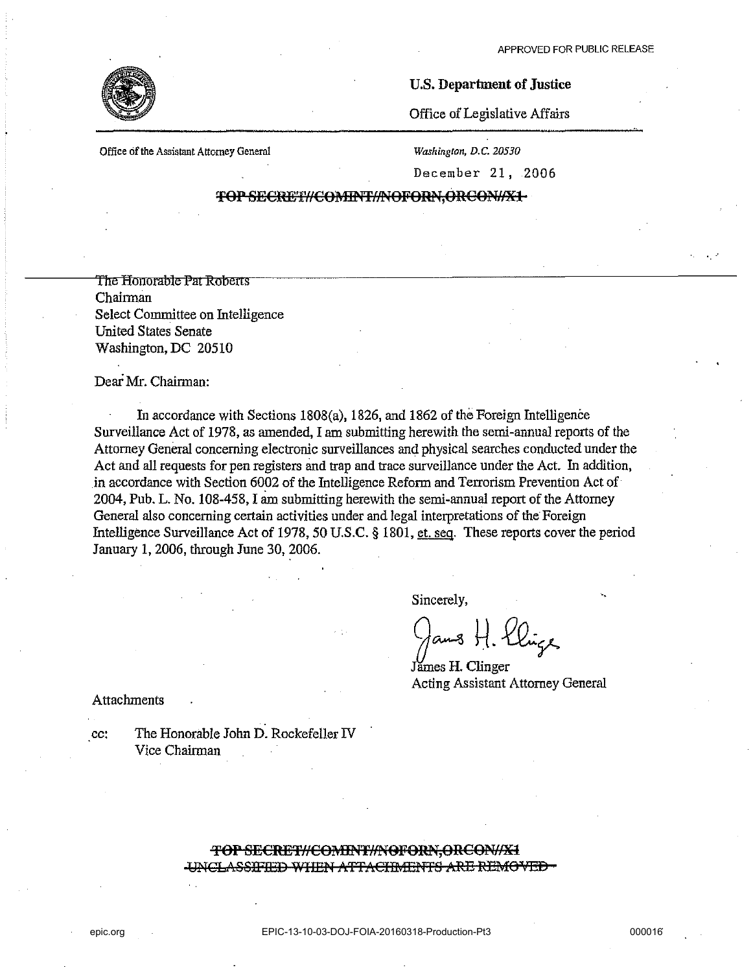$\mathbb{R}^3$ 



#### U.S. Department of Justice

Office of Legislative Affairs

Office of the Assistant Attorney General Washington, D.C. 20530

December 21, 2006

#### TOP SECRET//COMINT//NOFORN,ORCON//X1-

The Honorable Pat Roberts Chairman Select Committee on Intelligence United States Senate Washington, DC 20510

Dear Mr. Chairman:

In accordance with Sections 1808(a), 1826, and 1862 of the Foreigo Intelligence Surveillance Act of 1978, as amended, I am submitting herewith the semi-annual reports of the Attorney General concerning electronic surveillances and physical searches conducted under the Act and all requests for pen registers and trap and trace surveillance under the Act. In addition, in accordance with Section 6002 of the Intelligence Reform and Terrorism Prevention Act of 2004, Pub. L. No. 108-458, I am submitting herewith the semi-annual report of the Attorney General also concerning certain activities under and legal interpretations of the Foreigo Intelligence Surveillance Act of 1978, 50 U.S.C. § 1801, et. seq. These reports cover the period January 1, 2006, through June 30, 2006.

Sincerely,

 $a$  8 H. Elize

*limes* H. Clinger Acting Assistant Attorney General

Attachments

cc: The Honorable John D. Rockefeller IV Vice Chairman

#### TOP SECRET//COMINT//NOFORN,ORCON//X1 **illicLASSIFIED WHEN ATTACHMENTS ARE REMOVED**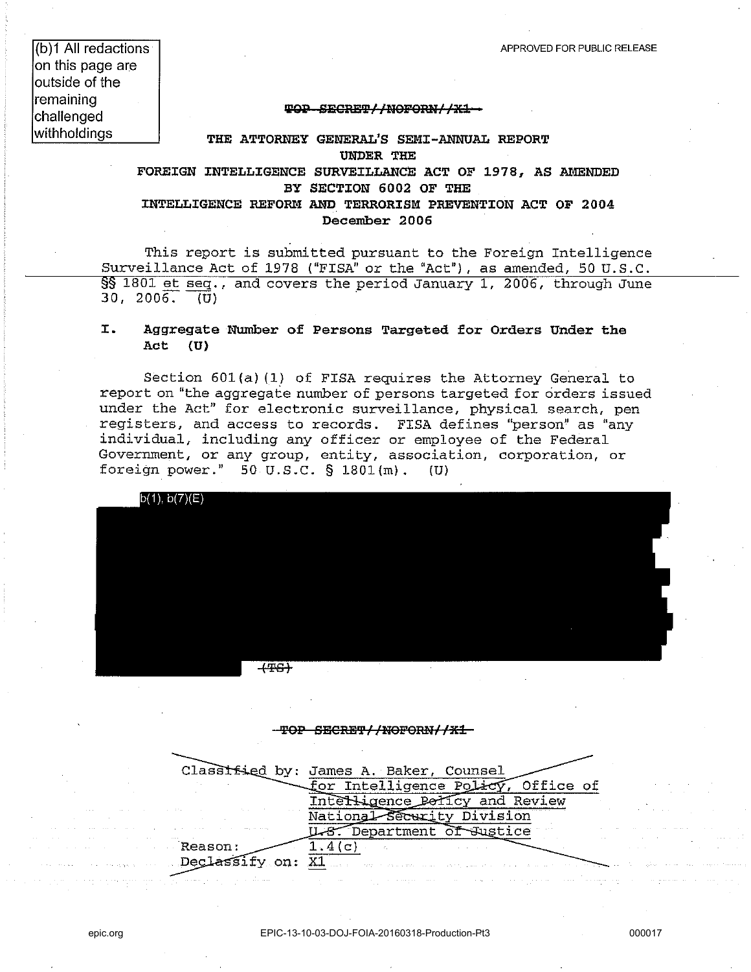(b)1 **All** redactions on this page are outside of the remaining challenged withholdings

#### **WQP SESRE'PllNOF9ml//xa**

**THE ATTORNEY GENERAL'S SEMI-ANNUAL REPORT UNDER THE** 

**FOREIGN INTELLIGENCE SURVEILLANCE ACT OF 1978, AS AMENDED BY SECTION 6002 OF THE INTELLIGENCE REFORM AND TERRORISM PREVENTION ACT OF 2004 December 2006** 

This report is submitted pursuant to the Foreign Intelligence Surveillance Act of 1978 ("FISA" or the "Act"), as amended, 50 U.S.C. §§ 1801 et seq., and covers the period January 1, 2006, through June  $30, 2006.$   $\overline{U}$ 

#### **I. Aggregate Number of Persons Targeted for Orders Under the Act (U)**

Section 60l(a) (1) of FISA requires the Attorney General to report on "the aggregate number of persons targeted for orders issued under the Act" for electronic surveillance, physical search, pen registers, and access to records. FISA defines "person" as "any individual, including any officer or employee of the Federal Government, or any group, entity, association, corporation, or foreign power." 50 U.S.C. § l801(m). (U)



#### TOP SECRET//NOFORN//X1

|                                                                                                                 | Classified by: James A. Baker, Counsel                                                                          |
|-----------------------------------------------------------------------------------------------------------------|-----------------------------------------------------------------------------------------------------------------|
|                                                                                                                 | for Intelligence Policy, Office of                                                                              |
| the contract of the contract of the contract of the contract of the contract of the contract of                 | Ligence Polícy and Review                                                                                       |
|                                                                                                                 | Security Division                                                                                               |
| the contract of the contract of the contract of the contract of the contract of the contract of the contract of | Department of Justice<br>$\sim$                                                                                 |
| Reason:                                                                                                         | CEN → Contra Contra Contra Contra Co                                                                            |
| Dec.                                                                                                            | and the contract of the second second contract of the second second second second contract of the second second |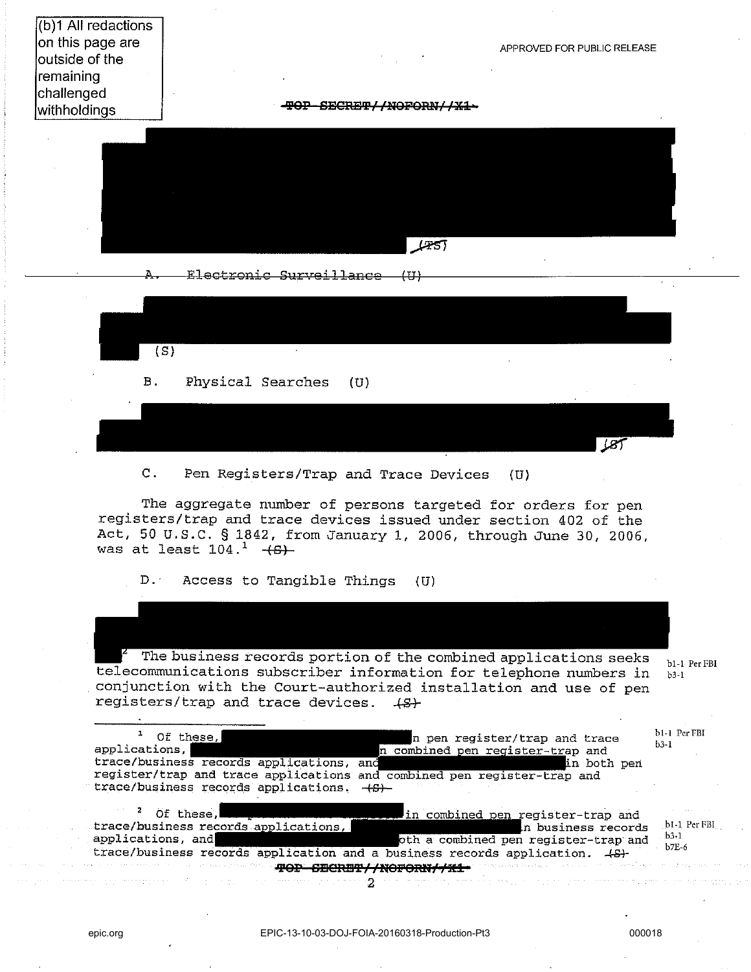(b)1 All redactions on this page are outside of the remaining challenged

APPROVED FOR PUBLIC RELEASE

 $LST$ 

with holdings **!pep SEGnB'l'II!I9P9RN/ /Xl** 





C. Pen Registers/Trap and Trace Devices (U)

The aggregate number of persons targeted for orders for pen registers/trap and trace devices issued under section 402 of the Act, 50 U.S.C. § 1842, from January 1, 2006, through June 30, 2006, was at least  $104. <sup>1</sup>$   $+6$ )

D.' Access to Tangible Things (U)

 $r^2$  The business records portion of the combined applications seeks telecommunications subscriber information for telephone numbers in conjunction with the Court-authorized installation and use of pen registers/trap and trace devices.  $\{S\}$ **bl-l PerFBl b3-1** 

| Of these,                                                                  | n pen register/trap and trace                                                                                         | b1-1 Per FBI                  |
|----------------------------------------------------------------------------|-----------------------------------------------------------------------------------------------------------------------|-------------------------------|
| applications.                                                              | n combined pen register-trap and                                                                                      | $b3-1$                        |
| trace/business records applications, and                                   | in both pen                                                                                                           |                               |
| register/trap and trace applications and combined pen register-trap and    |                                                                                                                       |                               |
| trace/business records applications. (8)                                   |                                                                                                                       |                               |
| Of these,                                                                  | in combined pen register-trap and                                                                                     |                               |
| trace/business records applications,                                       | In business records                                                                                                   | b1-1 Per FBI                  |
| applications, and                                                          | oth a combined pen register-trap and                                                                                  | $-b3-1$                       |
| trace/business records application and a business records application. 4S+ |                                                                                                                       | $b$ <sub>7</sub> E $\epsilon$ |
|                                                                            | on and the <b>contract of the contract of the contract of the contract of the contract of the contract of the con</b> |                               |

and and the process of the second

is a second mass of a super  $\mathbb{R}^n$  ,  $\mathbb{R}^n$  ,  $\mathbb{R}^n$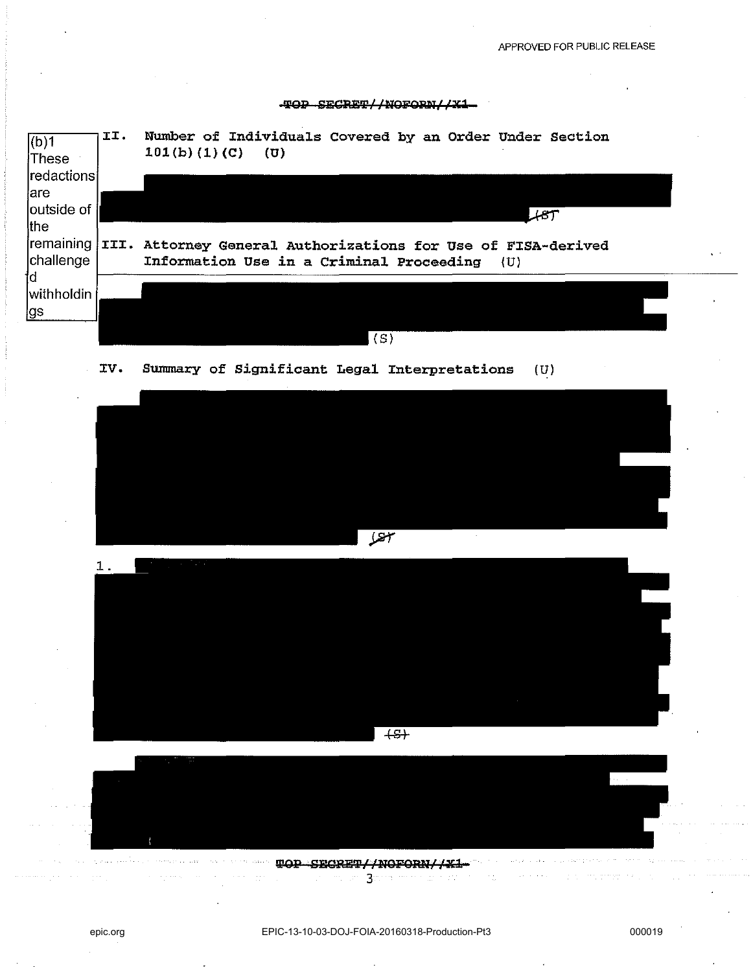#### 10P SECRET//NOFORN//X1

| $ $ (b)1<br>These<br> redactions | II.  | Number of Individuals Covered by an Order Under Section<br>101(b) (1) (C)<br>(U)                           |
|----------------------------------|------|------------------------------------------------------------------------------------------------------------|
| lare<br>outside of<br>the        |      |                                                                                                            |
| remaining<br>challenge<br>td     | III. | Attorney General Authorizations for Use of FISA-derived<br>Information Use in a Criminal Proceeding<br>(U) |
| withholdin<br>¦gs                |      |                                                                                                            |
|                                  |      | (S)                                                                                                        |

IV. Summary of Significant Legal Interpretations (U)







العقيد بالدخور وسيحجز الجارات بأدعاء والمتحارب للمحارجات general casual. **WOP SECRET//NOFORN//X1-** $\frac{1}{2} \left( \frac{1}{2} \right) \left( \frac{1}{2} \right) \left( \frac{1}{2} \right) \left( \frac{1}{2} \right) \left( \frac{1}{2} \right) \left( \frac{1}{2} \right) \left( \frac{1}{2} \right) \left( \frac{1}{2} \right) \left( \frac{1}{2} \right) \left( \frac{1}{2} \right) \left( \frac{1}{2} \right) \left( \frac{1}{2} \right) \left( \frac{1}{2} \right) \left( \frac{1}{2} \right) \left( \frac{1}{2} \right) \left( \frac{1}{2} \right) \left( \frac$  $\Omega^{1,1}(\mathbb{R}^3)$  and  $\Omega^{1,1}(\mathbb{R}^3)$  . Since the first and  $\Omega^{1,1}(\mathbb{R}^3)$  and  $\Omega^{1,1}(\mathbb{R}^3)$ 

 $\mathcal{P}^{(1)}$  , and the property of  $\mathcal{P}^{(1)}$  ,  $\mathcal{P}^{(2)}$ 

للأفياء العرجي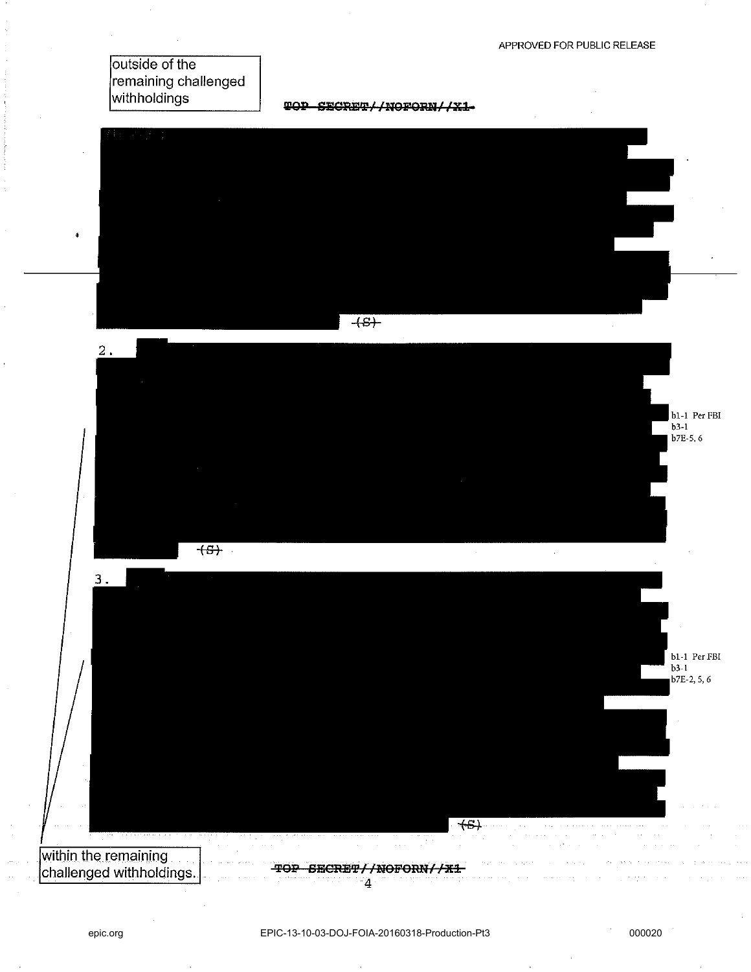outside of the remaining challenged withholdings

**WOP SECRET//NOFORM//X1-**

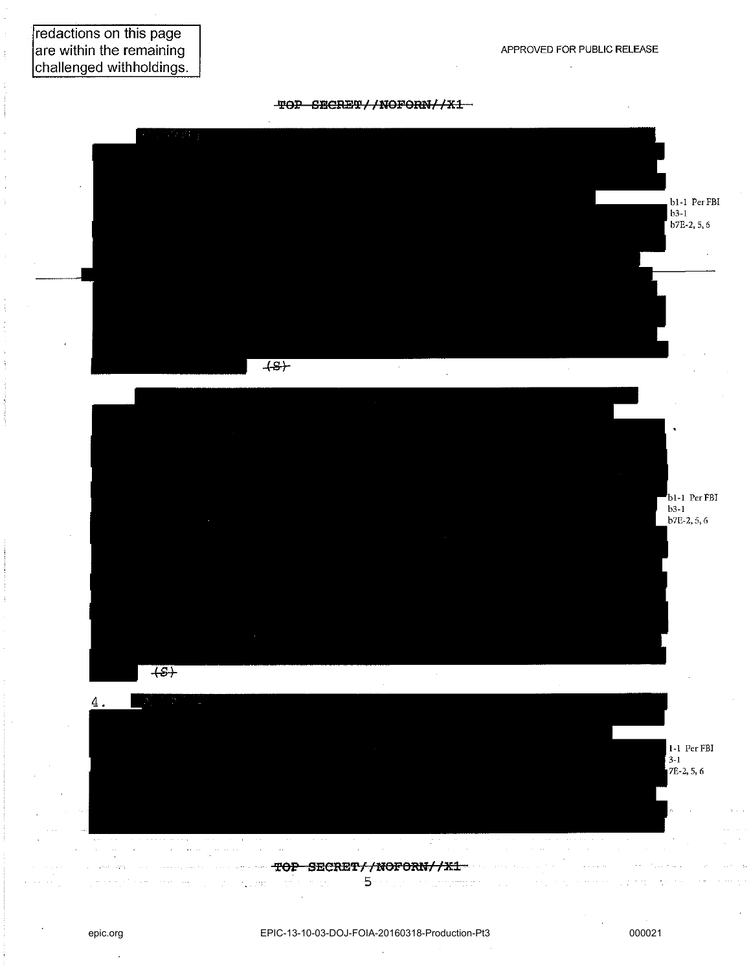V.

redactions on this page are within the remaining challenged withholdings.





لتعادل

in Line

 $\mathcal{L}^{\mathcal{L}}$  and  $\mathcal{L}^{\mathcal{L}}$  are denoted by  $\mathcal{L}^{\mathcal{L}}$  . The set of  $\mathcal{L}^{\mathcal{L}}$ 

5 (see also consequence and a consequence

 $\pi$  .

 $\sim$  .